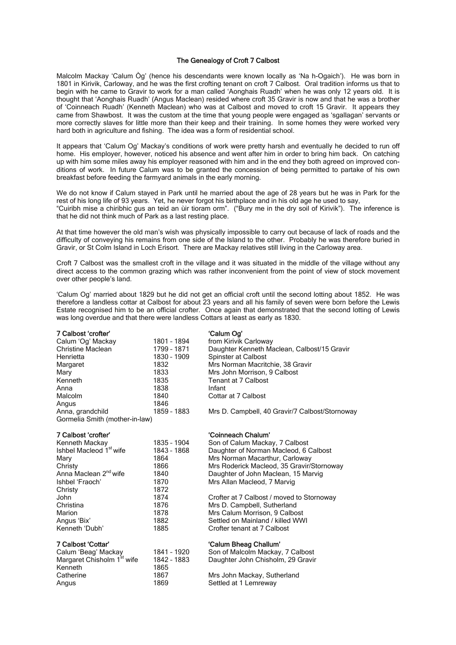### The Genealogy of Croft 7 Calbost

Malcolm Mackay 'Calum Òg' (hence his descendants were known locally as 'Na h-Ogaich'). He was born in 1801 in Kirivik, Carloway, and he was the first crofting tenant on croft 7 Calbost. Oral tradition informs us that to begin with he came to Gravir to work for a man called 'Aonghais Ruadh' when he was only 12 years old. It is thought that 'Aonghais Ruadh' (Angus Maclean) resided where croft 35 Gravir is now and that he was a brother of 'Coinneach Ruadh' (Kenneth Maclean) who was at Calbost and moved to croft 15 Gravir. It appears they came from Shawbost. It was the custom at the time that young people were engaged as 'sgallagan' servants or more correctly slaves for little more than their keep and their training. In some homes they were worked very hard both in agriculture and fishing. The idea was a form of residential school.

It appears that 'Calum Og' Mackay's conditions of work were pretty harsh and eventually he decided to run off home. His employer, however, noticed his absence and went after him in order to bring him back. On catching up with him some miles away his employer reasoned with him and in the end they both agreed on improved conditions of work. In future Calum was to be granted the concession of being permitted to partake of his own breakfast before feeding the farmyard animals in the early morning.

We do not know if Calum stayed in Park until he married about the age of 28 years but he was in Park for the rest of his long life of 93 years. Yet, he never forgot his birthplace and in his old age he used to say, "Cuiribh mise a chiribhic gus an teid an ùir tioram orm". ("Bury me in the dry soil of Kirivik"). The inference is that he did not think much of Park as a last resting place.

At that time however the old man's wish was physically impossible to carry out because of lack of roads and the difficulty of conveying his remains from one side of the Island to the other. Probably he was therefore buried in Gravir, or St Colm Island in Loch Erisort. There are Mackay relatives still living in the Carloway area.

Croft 7 Calbost was the smallest croft in the village and it was situated in the middle of the village without any direct access to the common grazing which was rather inconvenient from the point of view of stock movement over other people's land.

'Calum Og' married about 1829 but he did not get an official croft until the second lotting about 1852. He was therefore a landless cottar at Calbost for about 23 years and all his family of seven were born before the Lewis Estate recognised him to be an official crofter. Once again that demonstrated that the second lotting of Lewis was long overdue and that there were landless Cottars at least as early as 1830.

| 7 Calbost 'crofter'            |             | 'Calum Og'                                     |
|--------------------------------|-------------|------------------------------------------------|
| Calum 'Og' Mackay              | 1801 - 1894 | from Kirivik Carloway                          |
| <b>Christine Maclean</b>       | 1799 - 1871 | Daughter Kenneth Maclean, Calbost/15 Gravir    |
| Henrietta                      | 1830 - 1909 | Spinster at Calbost                            |
| Margaret                       | 1832        | Mrs Norman Macritchie, 38 Gravir               |
| Mary                           | 1833        | Mrs John Morrison, 9 Calbost                   |
| Kenneth                        | 1835        | Tenant at 7 Calbost                            |
| Anna                           | 1838        | Infant                                         |
| Malcolm                        | 1840        | Cottar at 7 Calbost                            |
| Angus                          | 1846        |                                                |
| Anna, grandchild               | 1859 - 1883 | Mrs D. Campbell, 40 Gravir/7 Calbost/Stornoway |
| Gormelia Smith (mother-in-law) |             |                                                |

| Kenneth Mackay                      | 1835 - 19 |
|-------------------------------------|-----------|
| Ishbel Macleod 1 <sup>st</sup> wife | 1843 - 18 |
| Mary                                | 1864      |
| Christy                             | 1866      |
| Anna Maclean 2 <sup>nd</sup> wife   | 1840      |
| Ishbel 'Fraoch'                     | 1870      |
| Christy                             | 1872      |
| John                                | 1874      |
| Christina                           | 1876      |
| Marion                              | 1878      |
| Angus 'Bix'                         | 1882      |
| Kenneth 'Dubh'                      | 1885      |
|                                     |           |

| Calum 'Beag' Mackay                    | 1841 - |
|----------------------------------------|--------|
| Margaret Chisholm 1 <sup>st</sup> wife | 1842 - |
| Kenneth                                | 1865   |
| Catherine                              | 1867   |
| Angus                                  | 1869   |

7 Calbost 'crofter' 'Coinneach Chalum'

- end Son of Calum Mackay, 7 Calbost<br>1908 1904 Daughter of Norman Macleod, 6 O Daughter of Norman Macleod, 6 Calbost Mrs Norman Macarthur, Carloway Mrs Roderick Macleod, 35 Gravir/Stornoway Daughter of John Maclean, 15 Marvig Mrs Allan Macleod, 7 Marvig
	- Crofter at 7 Calbost / moved to Stornoway Mrs D. Campbell, Sutherland Mrs Calum Morrison, 9 Calbost Settled on Mainland / killed WWI Crofter tenant at 7 Calbost

## 7 Calbost 'Cottar' 'Calum Bheag Challum'

| Calum 'Beag' Mackay                    | 1841 - 1920                           | Son of Malcolm Mackay, 7 Calbost  |
|----------------------------------------|---------------------------------------|-----------------------------------|
| Margaret Chisholm 1 <sup>st</sup> wife | 1842 - 1883                           | Daughter John Chisholm, 29 Gravir |
| Kenneth                                | 1865                                  |                                   |
| $\sim$ $\sim$                          | $\lambda$ $\sim$ $\sim$ $\rightarrow$ |                                   |

Mrs John Mackay, Sutherland Settled at 1 Lemreway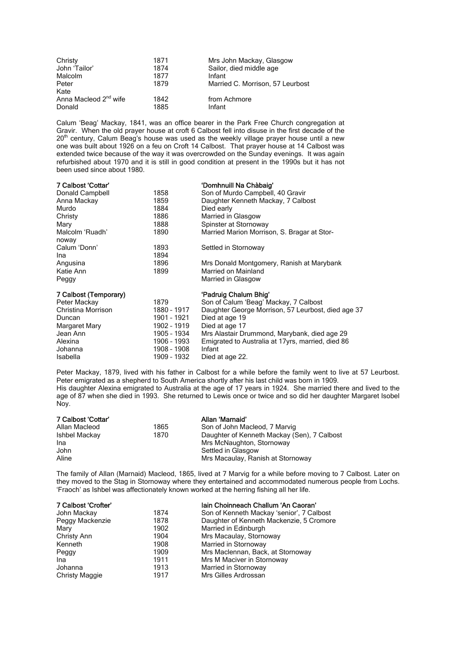| Christy                           | 1871 | Mrs John Mackay, Glasgow         |
|-----------------------------------|------|----------------------------------|
| John 'Tailor'                     | 1874 | Sailor, died middle age          |
| Malcolm                           | 1877 | Infant                           |
| Peter                             | 1879 | Married C. Morrison, 57 Leurbost |
| Kate                              |      |                                  |
| Anna Macleod 2 <sup>nd</sup> wife | 1842 | from Achmore                     |
| Donald                            | 1885 | Infant                           |

Calum 'Beag' Mackay, 1841, was an office bearer in the Park Free Church congregation at Gravir. When the old prayer house at croft 6 Calbost fell into disuse in the first decade of the 20<sup>th</sup> century, Calum Beag's house was used as the weekly village prayer house until a new one was built about 1926 on a feu on Croft 14 Calbost. That prayer house at 14 Calbost was extended twice because of the way it was overcrowded on the Sunday evenings. It was again refurbished about 1970 and it is still in good condition at present in the 1990s but it has not been used since about 1980.

| 7 Calbost 'Cottar'       |             | 'Domhnuill Na Chàbaig'                             |
|--------------------------|-------------|----------------------------------------------------|
| Donald Campbell          | 1858        | Son of Murdo Campbell, 40 Gravir                   |
| Anna Mackay              | 1859        | Daughter Kenneth Mackay, 7 Calbost                 |
| Murdo                    | 1884        | Died early                                         |
| Christy                  | 1886        | Married in Glasgow                                 |
| Mary                     | 1888        | Spinster at Stornoway                              |
| Malcolm 'Ruadh'<br>noway | 1890        | Married Marion Morrison, S. Bragar at Stor-        |
| Calum 'Donn'             | 1893        | Settled in Stornoway                               |
| Ina                      | 1894        |                                                    |
| Angusina                 | 1896        | Mrs Donald Montgomery, Ranish at Marybank          |
| Katie Ann                | 1899        | Married on Mainland                                |
| Peggy                    |             | Married in Glasgow                                 |
| 7 Calbost (Temporary)    |             | 'Padruig Chalum Bhig'                              |
| Peter Mackay             | 1879        | Son of Calum 'Beag' Mackay, 7 Calbost              |
| Christina Morrison       | 1880 - 1917 | Daughter George Morrison, 57 Leurbost, died age 37 |
| Duncan                   | 1901 - 1921 | Died at age 19                                     |
| Margaret Mary            | 1902 - 1919 | Died at age 17                                     |
| Jean Ann                 | 1905 - 1934 | Mrs Alastair Drummond, Marybank, died age 29       |
| Alexina                  | 1906 - 1993 | Emigrated to Australia at 17yrs, married, died 86  |
| Johanna                  | 1908 - 1908 | Infant                                             |
| Isabella                 | 1909 - 1932 | Died at age 22.                                    |

Peter Mackay, 1879, lived with his father in Calbost for a while before the family went to live at 57 Leurbost. Peter emigrated as a shepherd to South America shortly after his last child was born in 1909. His daughter Alexina emigrated to Australia at the age of 17 years in 1924. She married there and lived to the age of 87 when she died in 1993. She returned to Lewis once or twice and so did her daughter Margaret Isobel Noy.

| 7 Calbost 'Cottar' |      | Allan 'Marnaid'                             |
|--------------------|------|---------------------------------------------|
| Allan Macleod      | 1865 | Son of John Macleod, 7 Marvig               |
| Ishbel Mackay      | 1870 | Daughter of Kenneth Mackay (Sen), 7 Calbost |
| Ina                |      | Mrs McNaughton, Stornoway                   |
| John               |      | Settled in Glasgow                          |
| Aline              |      | Mrs Macaulay, Ranish at Stornoway           |

The family of Allan (Marnaid) Macleod, 1865, lived at 7 Marvig for a while before moving to 7 Calbost. Later on they moved to the Stag in Stornoway where they entertained and accommodated numerous people from Lochs. 'Fraoch' as Ishbel was affectionately known worked at the herring fishing all her life.

| 7 Calbost 'Crofter'   |      | lain Choinneach Challum 'An Caoran'       |
|-----------------------|------|-------------------------------------------|
| John Mackay           | 1874 | Son of Kenneth Mackay 'senior', 7 Calbost |
| Peggy Mackenzie       | 1878 | Daughter of Kenneth Mackenzie, 5 Cromore  |
| Mary                  | 1902 | Married in Edinburgh                      |
| Christy Ann           | 1904 | Mrs Macaulay, Stornoway                   |
| Kenneth               | 1908 | Married in Stornoway                      |
| Peggy                 | 1909 | Mrs Maclennan, Back, at Stornoway         |
| Ina                   | 1911 | Mrs M Maciver in Stornoway                |
| Johanna               | 1913 | Married in Stornoway                      |
| <b>Christy Maggie</b> | 1917 | Mrs Gilles Ardrossan                      |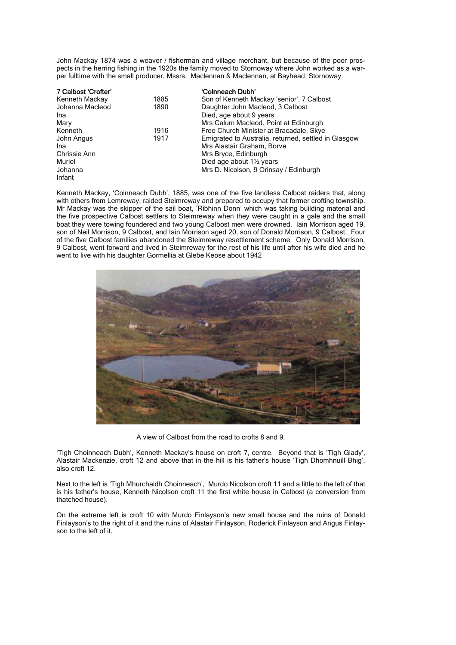John Mackay 1874 was a weaver / fisherman and village merchant, but because of the poor prospects in the herring fishing in the 1920s the family moved to Stornoway where John worked as a warper fulltime with the small producer, Mssrs. Maclennan & Maclennan, at Bayhead, Stornoway.

| 7 Calbost 'Crofter' |      | 'Coinneach Dubh'                                     |
|---------------------|------|------------------------------------------------------|
| Kenneth Mackay      | 1885 | Son of Kenneth Mackay 'senior', 7 Calbost            |
| Johanna Macleod     | 1890 | Daughter John Macleod, 3 Calbost                     |
| Ina                 |      | Died, age about 9 years                              |
| Mary                |      | Mrs Calum Macleod. Point at Edinburgh                |
| Kenneth             | 1916 | Free Church Minister at Bracadale, Skye              |
| John Angus          | 1917 | Emigrated to Australia, returned, settled in Glasgow |
| Ina                 |      | Mrs Alastair Graham, Borve                           |
| Chrissie Ann        |      | Mrs Bryce, Edinburgh                                 |
| Muriel              |      | Died age about 11/2 years                            |
| Johanna             |      | Mrs D. Nicolson, 9 Orinsay / Edinburgh               |
| Infant              |      |                                                      |

Kenneth Mackay, 'Coinneach Dubh', 1885, was one of the five landless Calbost raiders that, along with others from Lemreway, raided Steimreway and prepared to occupy that former crofting township. Mr Mackay was the skipper of the sail boat, 'Ribhinn Donn' which was taking building material and the five prospective Calbost settlers to Steimreway when they were caught in a gale and the small boat they were towing foundered and two young Calbost men were drowned. Iain Morrison aged 19, son of Neil Morrison, 9 Calbost, and Iain Morrison aged 20, son of Donald Morrison, 9 Calbost. Four of the five Calbost families abandoned the Steimreway resettlement scheme. Only Donald Morrison, 9 Calbost, went forward and lived in Steimreway for the rest of his life until after his wife died and he went to live with his daughter Gormellia at Glebe Keose about 1942



A view of Calbost from the road to crofts 8 and 9.

'Tigh Choinneach Dubh', Kenneth Mackay's house on croft 7, centre. Beyond that is 'Tigh Glady', Alastair Mackenzie, croft 12 and above that in the hill is his father's house 'Tigh Dhomhnuill Bhig', also croft 12.

Next to the left is 'Tigh Mhurchaidh Choinneach', Murdo Nicolson croft 11 and a little to the left of that is his father's house, Kenneth Nicolson croft 11 the first white house in Calbost (a conversion from thatched house).

On the extreme left is croft 10 with Murdo Finlayson's new small house and the ruins of Donald Finlayson's to the right of it and the ruins of Alastair Finlayson, Roderick Finlayson and Angus Finlayson to the left of it.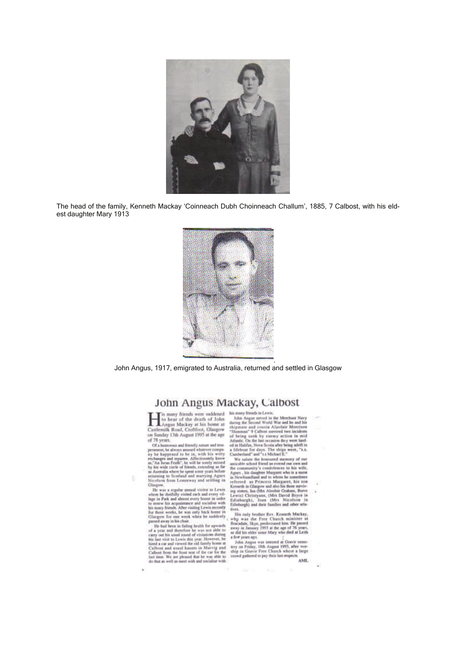

The head of the family, Kenneth Mackay 'Coinneach Dubh Choinneach Challum', 1885, 7 Calbost, with his eldest daughter Mary 1913



John Angus, 1917, emigrated to Australia, returned and settled in Glasgow

# John Angus Mackay, Calbost

any friends were saddened his many friends in Lewis, to hear of the death of John<br>Angus Mackey at his heten at<br>Castlemilk Road, Croftfoot, Glasgow<br>on Sunday 13th August 1995 at the age of 78 years.

of 78 years.<br>Of a homoma and friendly nature and tem-<br>Of a homoma, the always amoned whatever compared to be in, with his witty<br>rechanges and repartes. Affectionarily known<br>as,"An boan Feals". he will be sorrly minod by hi Glassrow

п

×,

Needstrom from Lemmeway and setting in<br>
Gluegow.<br>
The was a regular smoul visitor to Lewis<br>
where he distributy without each properties that the properties<br>
where in Park and almost every house in order<br>
to smoul in each

his many friends in Lewis.<br>
Solve Angue served in the Membaut Navy<br>
Joinn Angue served in the Membaut Navy<br>
sharing the Second World War and he and his<br>
whigmaster and cousin Alasdair Morrison<br>
"Shammar" 9 Calbost mavies

Cumberland" and "1.8 Michael E."<br>
We said to the non-zero determined the non-zero of our annicable school friend an extend our own and<br>
the community's conditeness to his wife,  $\Delta_{\rm gPP}$ , his damp<br>  $\Delta_{\rm gPP}$ , his dample  $\frac{1}{11}$ 

fives. His ordy brother Rev. Kenneth Mackay, why was the Free Church minister at Bucadale, Skye, prodocensed him He puseed may in January 1993 at the age of 76 years, as did hit elder sizer Mary who died at Leith John Ang

AME.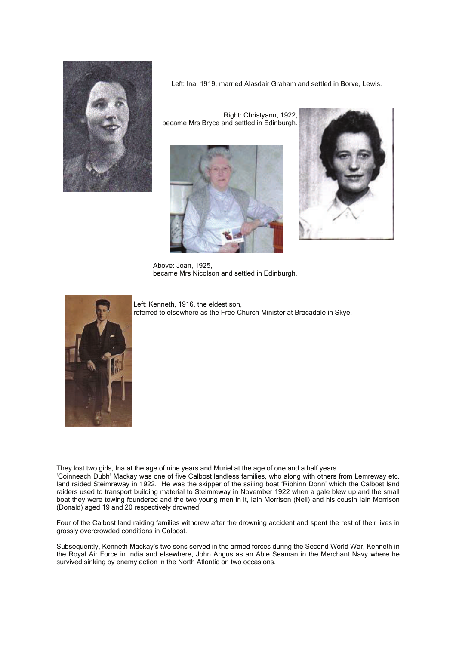

Left: Ina, 1919, married Alasdair Graham and settled in Borve, Lewis.

Right: Christyann, 1922, became Mrs Bryce and settled in Edinburgh.





Above: Joan, 1925, became Mrs Nicolson and settled in Edinburgh.

![](_page_4_Picture_6.jpeg)

Left: Kenneth, 1916, the eldest son, referred to elsewhere as the Free Church Minister at Bracadale in Skye.

They lost two girls, Ina at the age of nine years and Muriel at the age of one and a half years. 'Coinneach Dubh' Mackay was one of five Calbost landless families, who along with others from Lemreway etc. land raided Steimreway in 1922. He was the skipper of the sailing boat 'Ribhinn Donn' which the Calbost land raiders used to transport building material to Steimreway in November 1922 when a gale blew up and the small boat they were towing foundered and the two young men in it, Iain Morrison (Neil) and his cousin Iain Morrison (Donald) aged 19 and 20 respectively drowned.

Four of the Calbost land raiding families withdrew after the drowning accident and spent the rest of their lives in grossly overcrowded conditions in Calbost.

Subsequently, Kenneth Mackay's two sons served in the armed forces during the Second World War, Kenneth in the Royal Air Force in India and elsewhere, John Angus as an Able Seaman in the Merchant Navy where he survived sinking by enemy action in the North Atlantic on two occasions.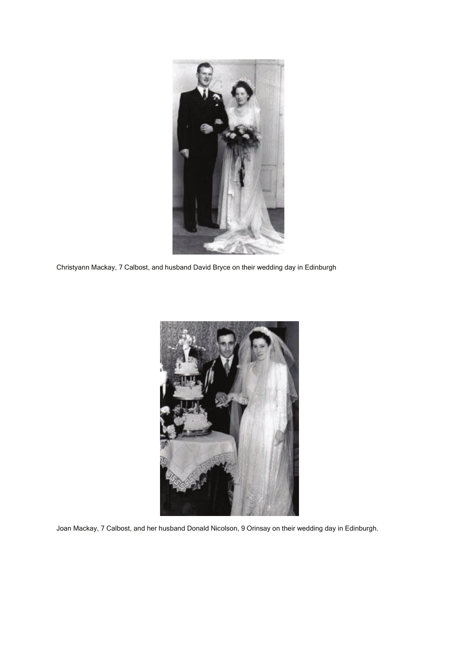![](_page_5_Picture_0.jpeg)

Christyann Mackay, 7 Calbost, and husband David Bryce on their wedding day in Edinburgh

![](_page_5_Picture_2.jpeg)

Joan Mackay, 7 Calbost, and her husband Donald Nicolson, 9 Orinsay on their wedding day in Edinburgh.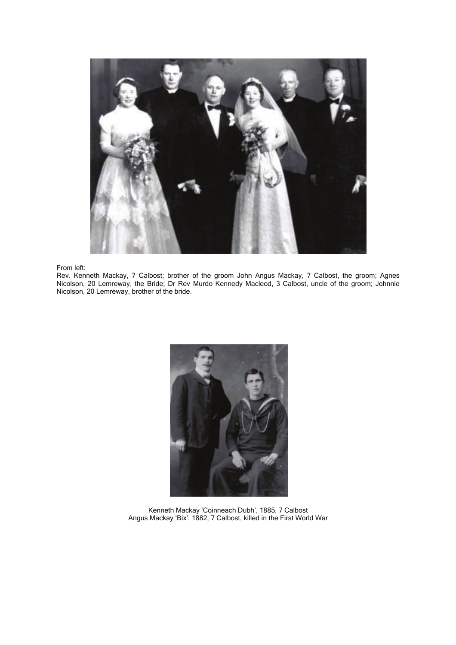![](_page_6_Picture_0.jpeg)

From left:

Rev. Kenneth Mackay, 7 Calbost; brother of the groom John Angus Mackay, 7 Calbost, the groom; Agnes Nicolson, 20 Lemreway, the Bride; Dr Rev Murdo Kennedy Macleod, 3 Calbost, uncle of the groom; Johnnie Nicolson, 20 Lemreway, brother of the bride.

![](_page_6_Picture_3.jpeg)

Kenneth Mackay 'Coinneach Dubh', 1885, 7 Calbost Angus Mackay 'Bix', 1882, 7 Calbost, killed in the First World War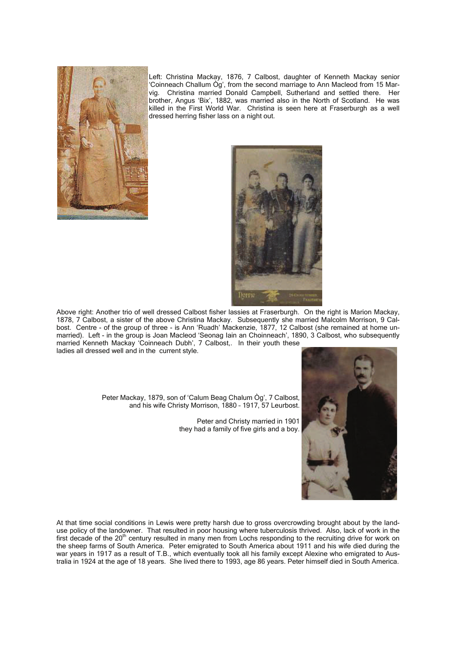![](_page_7_Picture_0.jpeg)

Left: Christina Mackay, 1876, 7 Calbost, daughter of Kenneth Mackay senior 'Coinneach Challum Òg', from the second marriage to Ann Macleod from 15 Marvig. Christina married Donald Campbell, Sutherland and settled there. Her brother, Angus 'Bix', 1882, was married also in the North of Scotland. He was killed in the First World War. Christina is seen here at Fraserburgh as a well dressed herring fisher lass on a night out.

![](_page_7_Picture_2.jpeg)

Above right: Another trio of well dressed Calbost fisher lassies at Fraserburgh. On the right is Marion Mackay, 1878, 7 Calbost, a sister of the above Christina Mackay. Subsequently she married Malcolm Morrison, 9 Calbost. Centre - of the group of three - is Ann 'Ruadh' Mackenzie, 1877, 12 Calbost (she remained at home unmarried). Left - in the group is Joan Macleod 'Seonag Iain an Choinneach', 1890, 3 Calbost, who subsequently married Kenneth Mackay 'Coinneach Dubh', 7 Calbost,. In their youth these ladies all dressed well and in the current style.

> Peter Mackay, 1879, son of 'Calum Beag Chalum Òg', 7 Calbost, and his wife Christy Morrison, 1880 – 1917, 57 Leurbost.

> > Peter and Christy married in 1901 they had a family of five girls and a boy.

![](_page_7_Picture_6.jpeg)

At that time social conditions in Lewis were pretty harsh due to gross overcrowding brought about by the landuse policy of the landowner. That resulted in poor housing where tuberculosis thrived. Also, lack of work in the first decade of the 20<sup>th</sup> century resulted in many men from Lochs responding to the recruiting drive for work on the sheep farms of South America. Peter emigrated to South America about 1911 and his wife died during the war years in 1917 as a result of T.B., which eventually took all his family except Alexine who emigrated to Australia in 1924 at the age of 18 years. She lived there to 1993, age 86 years. Peter himself died in South America.